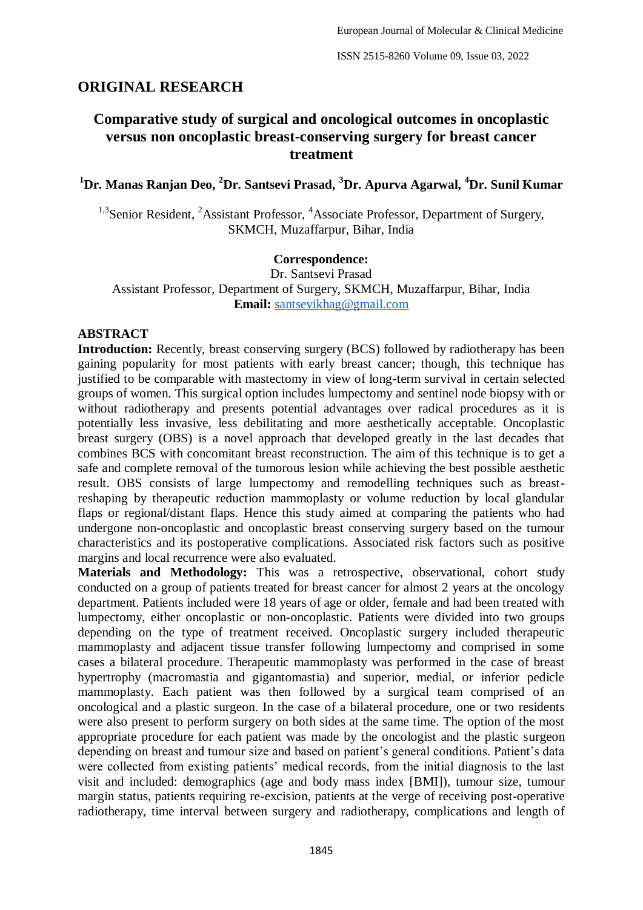# **ORIGINAL RESEARCH**

# **Comparative study of surgical and oncological outcomes in oncoplastic versus non oncoplastic breast-conserving surgery for breast cancer treatment**

**<sup>1</sup>Dr. Manas Ranjan Deo, <sup>2</sup>Dr. Santsevi Prasad, <sup>3</sup>Dr. Apurva Agarwal, <sup>4</sup>Dr. Sunil Kumar**

<sup>1,3</sup>Senior Resident, <sup>2</sup>Assistant Professor, <sup>4</sup>Associate Professor, Department of Surgery, SKMCH, Muzaffarpur, Bihar, India

### **Correspondence:**

Dr. Santsevi Prasad Assistant Professor, Department of Surgery, SKMCH, Muzaffarpur, Bihar, India **Email:** [santsevikhag@gmail.com](mailto:santsevikhag@gmail.com)

### **ABSTRACT**

**Introduction:** Recently, breast conserving surgery (BCS) followed by radiotherapy has been gaining popularity for most patients with early breast cancer; though, this technique has justified to be comparable with mastectomy in view of long-term survival in certain selected groups of women. This surgical option includes lumpectomy and sentinel node biopsy with or without radiotherapy and presents potential advantages over radical procedures as it is potentially less invasive, less debilitating and more aesthetically acceptable. Oncoplastic breast surgery (OBS) is a novel approach that developed greatly in the last decades that combines BCS with concomitant breast reconstruction. The aim of this technique is to get a safe and complete removal of the tumorous lesion while achieving the best possible aesthetic result. OBS consists of large lumpectomy and remodelling techniques such as breastreshaping by therapeutic reduction mammoplasty or volume reduction by local glandular flaps or regional/distant flaps. Hence this study aimed at comparing the patients who had undergone non-oncoplastic and oncoplastic breast conserving surgery based on the tumour characteristics and its postoperative complications. Associated risk factors such as positive margins and local recurrence were also evaluated.

**Materials and Methodology:** This was a retrospective, observational, cohort study conducted on a group of patients treated for breast cancer for almost 2 years at the oncology department. Patients included were 18 years of age or older, female and had been treated with lumpectomy, either oncoplastic or non-oncoplastic. Patients were divided into two groups depending on the type of treatment received. Oncoplastic surgery included therapeutic mammoplasty and adjacent tissue transfer following lumpectomy and comprised in some cases a bilateral procedure. Therapeutic mammoplasty was performed in the case of breast hypertrophy (macromastia and gigantomastia) and superior, medial, or inferior pedicle mammoplasty. Each patient was then followed by a surgical team comprised of an oncological and a plastic surgeon. In the case of a bilateral procedure, one or two residents were also present to perform surgery on both sides at the same time. The option of the most appropriate procedure for each patient was made by the oncologist and the plastic surgeon depending on breast and tumour size and based on patient's general conditions. Patient's data were collected from existing patients' medical records, from the initial diagnosis to the last visit and included: demographics (age and body mass index [BMI]), tumour size, tumour margin status, patients requiring re-excision, patients at the verge of receiving post-operative radiotherapy, time interval between surgery and radiotherapy, complications and length of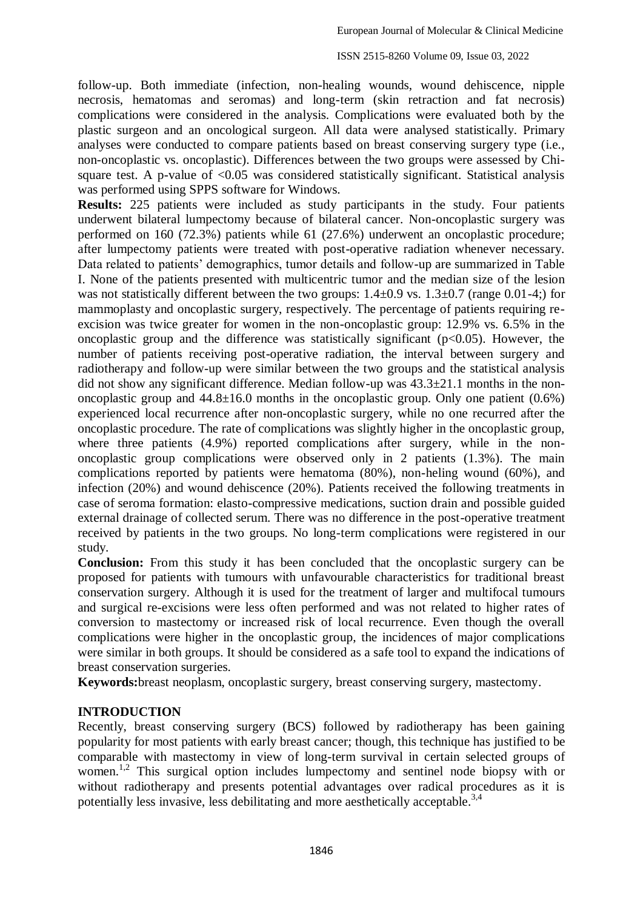follow-up. Both immediate (infection, non-healing wounds, wound dehiscence, nipple necrosis, hematomas and seromas) and long-term (skin retraction and fat necrosis) complications were considered in the analysis. Complications were evaluated both by the plastic surgeon and an oncological surgeon. All data were analysed statistically. Primary analyses were conducted to compare patients based on breast conserving surgery type (i.e., non-oncoplastic vs. oncoplastic). Differences between the two groups were assessed by Chisquare test. A p-value of  $\leq 0.05$  was considered statistically significant. Statistical analysis was performed using SPPS software for Windows.

**Results:** 225 patients were included as study participants in the study. Four patients underwent bilateral lumpectomy because of bilateral cancer. Non-oncoplastic surgery was performed on 160 (72.3%) patients while 61 (27.6%) underwent an oncoplastic procedure; after lumpectomy patients were treated with post-operative radiation whenever necessary. Data related to patients' demographics, tumor details and follow-up are summarized in Table I. None of the patients presented with multicentric tumor and the median size of the lesion was not statistically different between the two groups:  $1.4\pm0.9$  vs.  $1.3\pm0.7$  (range 0.01-4;) for mammoplasty and oncoplastic surgery, respectively. The percentage of patients requiring reexcision was twice greater for women in the non-oncoplastic group: 12.9% vs. 6.5% in the oncoplastic group and the difference was statistically significant ( $p<0.05$ ). However, the number of patients receiving post-operative radiation, the interval between surgery and radiotherapy and follow-up were similar between the two groups and the statistical analysis did not show any significant difference. Median follow-up was 43.3±21.1 months in the nononcoplastic group and  $44.8\pm16.0$  months in the oncoplastic group. Only one patient  $(0.6\%)$ experienced local recurrence after non-oncoplastic surgery, while no one recurred after the oncoplastic procedure. The rate of complications was slightly higher in the oncoplastic group, where three patients (4.9%) reported complications after surgery, while in the nononcoplastic group complications were observed only in 2 patients (1.3%). The main complications reported by patients were hematoma (80%), non-heling wound (60%), and infection (20%) and wound dehiscence (20%). Patients received the following treatments in case of seroma formation: elasto-compressive medications, suction drain and possible guided external drainage of collected serum. There was no difference in the post-operative treatment received by patients in the two groups. No long-term complications were registered in our study.

**Conclusion:** From this study it has been concluded that the oncoplastic surgery can be proposed for patients with tumours with unfavourable characteristics for traditional breast conservation surgery. Although it is used for the treatment of larger and multifocal tumours and surgical re-excisions were less often performed and was not related to higher rates of conversion to mastectomy or increased risk of local recurrence. Even though the overall complications were higher in the oncoplastic group, the incidences of major complications were similar in both groups. It should be considered as a safe tool to expand the indications of breast conservation surgeries.

**Keywords:**breast neoplasm, oncoplastic surgery, breast conserving surgery, mastectomy.

## **INTRODUCTION**

Recently, breast conserving surgery (BCS) followed by radiotherapy has been gaining popularity for most patients with early breast cancer; though, this technique has justified to be comparable with mastectomy in view of long-term survival in certain selected groups of women.<sup>1,2</sup> This surgical option includes lumpectomy and sentinel node biopsy with or without radiotherapy and presents potential advantages over radical procedures as it is potentially less invasive, less debilitating and more aesthetically acceptable.<sup>3,4</sup>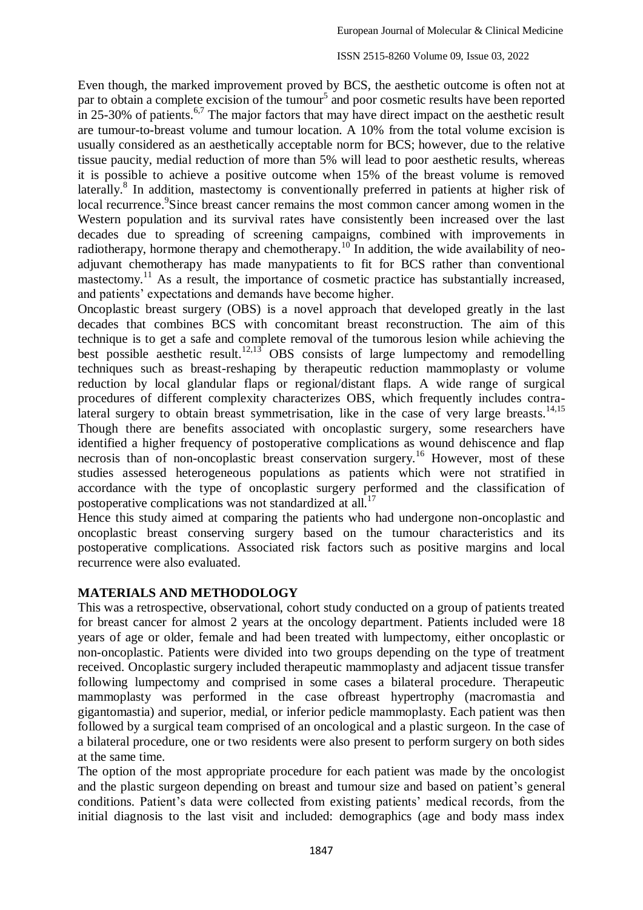#### ISSN 2515-8260 Volume 09, Issue 03, 2022

Even though, the marked improvement proved by BCS, the aesthetic outcome is often not at par to obtain a complete excision of the tumour<sup>5</sup> and poor cosmetic results have been reported in 25-30% of patients.<sup>6,7</sup> The major factors that may have direct impact on the aesthetic result are tumour-to-breast volume and tumour location. A 10% from the total volume excision is usually considered as an aesthetically acceptable norm for BCS; however, due to the relative tissue paucity, medial reduction of more than 5% will lead to poor aesthetic results, whereas it is possible to achieve a positive outcome when 15% of the breast volume is removed laterally.<sup>8</sup> In addition, mastectomy is conventionally preferred in patients at higher risk of local recurrence.<sup>9</sup>Since breast cancer remains the most common cancer among women in the Western population and its survival rates have consistently been increased over the last decades due to spreading of screening campaigns, combined with improvements in radiotherapy, hormone therapy and chemotherapy.<sup>10</sup> In addition, the wide availability of neoadjuvant chemotherapy has made manypatients to fit for BCS rather than conventional mastectomy.<sup>11</sup> As a result, the importance of cosmetic practice has substantially increased, and patients' expectations and demands have become higher.

Oncoplastic breast surgery (OBS) is a novel approach that developed greatly in the last decades that combines BCS with concomitant breast reconstruction. The aim of this technique is to get a safe and complete removal of the tumorous lesion while achieving the best possible aesthetic result.<sup>12,13</sup> OBS consists of large lumpectomy and remodelling techniques such as breast-reshaping by therapeutic reduction mammoplasty or volume reduction by local glandular flaps or regional/distant flaps. A wide range of surgical procedures of different complexity characterizes OBS, which frequently includes contralateral surgery to obtain breast symmetrisation, like in the case of very large breasts.<sup>14,15</sup> Though there are benefits associated with oncoplastic surgery, some researchers have identified a higher frequency of postoperative complications as wound dehiscence and flap necrosis than of non-oncoplastic breast conservation surgery.<sup>16</sup> However, most of these studies assessed heterogeneous populations as patients which were not stratified in accordance with the type of oncoplastic surgery performed and the classification of postoperative complications was not standardized at all.<sup>17</sup>

Hence this study aimed at comparing the patients who had undergone non-oncoplastic and oncoplastic breast conserving surgery based on the tumour characteristics and its postoperative complications. Associated risk factors such as positive margins and local recurrence were also evaluated.

### **MATERIALS AND METHODOLOGY**

This was a retrospective, observational, cohort study conducted on a group of patients treated for breast cancer for almost 2 years at the oncology department. Patients included were 18 years of age or older, female and had been treated with lumpectomy, either oncoplastic or non-oncoplastic. Patients were divided into two groups depending on the type of treatment received. Oncoplastic surgery included therapeutic mammoplasty and adjacent tissue transfer following lumpectomy and comprised in some cases a bilateral procedure. Therapeutic mammoplasty was performed in the case ofbreast hypertrophy (macromastia and gigantomastia) and superior, medial, or inferior pedicle mammoplasty. Each patient was then followed by a surgical team comprised of an oncological and a plastic surgeon. In the case of a bilateral procedure, one or two residents were also present to perform surgery on both sides at the same time.

The option of the most appropriate procedure for each patient was made by the oncologist and the plastic surgeon depending on breast and tumour size and based on patient's general conditions. Patient's data were collected from existing patients' medical records, from the initial diagnosis to the last visit and included: demographics (age and body mass index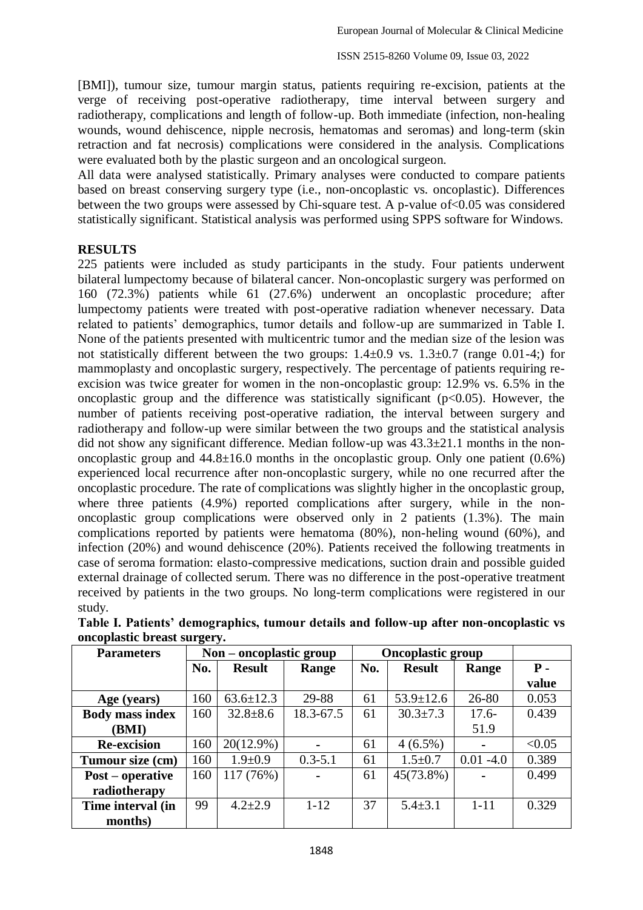[BMI]), tumour size, tumour margin status, patients requiring re-excision, patients at the verge of receiving post-operative radiotherapy, time interval between surgery and radiotherapy, complications and length of follow-up. Both immediate (infection, non-healing wounds, wound dehiscence, nipple necrosis, hematomas and seromas) and long-term (skin retraction and fat necrosis) complications were considered in the analysis. Complications were evaluated both by the plastic surgeon and an oncological surgeon.

All data were analysed statistically. Primary analyses were conducted to compare patients based on breast conserving surgery type (i.e., non-oncoplastic vs. oncoplastic). Differences between the two groups were assessed by Chi-square test. A p-value of<0.05 was considered statistically significant. Statistical analysis was performed using SPPS software for Windows.

#### **RESULTS**

225 patients were included as study participants in the study. Four patients underwent bilateral lumpectomy because of bilateral cancer. Non-oncoplastic surgery was performed on 160 (72.3%) patients while 61 (27.6%) underwent an oncoplastic procedure; after lumpectomy patients were treated with post-operative radiation whenever necessary. Data related to patients' demographics, tumor details and follow-up are summarized in Table I. None of the patients presented with multicentric tumor and the median size of the lesion was not statistically different between the two groups:  $1.4\pm0.9$  vs.  $1.3\pm0.7$  (range 0.01-4;) for mammoplasty and oncoplastic surgery, respectively. The percentage of patients requiring reexcision was twice greater for women in the non-oncoplastic group: 12.9% vs. 6.5% in the oncoplastic group and the difference was statistically significant ( $p<0.05$ ). However, the number of patients receiving post-operative radiation, the interval between surgery and radiotherapy and follow-up were similar between the two groups and the statistical analysis did not show any significant difference. Median follow-up was 43.3±21.1 months in the nononcoplastic group and  $44.8\pm16.0$  months in the oncoplastic group. Only one patient  $(0.6\%)$ experienced local recurrence after non-oncoplastic surgery, while no one recurred after the oncoplastic procedure. The rate of complications was slightly higher in the oncoplastic group, where three patients (4.9%) reported complications after surgery, while in the nononcoplastic group complications were observed only in 2 patients (1.3%). The main complications reported by patients were hematoma (80%), non-heling wound (60%), and infection (20%) and wound dehiscence (20%). Patients received the following treatments in case of seroma formation: elasto-compressive medications, suction drain and possible guided external drainage of collected serum. There was no difference in the post-operative treatment received by patients in the two groups. No long-term complications were registered in our study.

| <b>Parameters</b>       | $Non-oncoplastic group$ |                 |                | <b>Oncoplastic group</b> |                 |                |        |
|-------------------------|-------------------------|-----------------|----------------|--------------------------|-----------------|----------------|--------|
|                         | No.                     | <b>Result</b>   | Range          | No.                      | <b>Result</b>   | Range          | $P -$  |
|                         |                         |                 |                |                          |                 |                | value  |
| Age (years)             | 160                     | $63.6 \pm 12.3$ | 29-88          | 61                       | $53.9 \pm 12.6$ | 26-80          | 0.053  |
| <b>Body mass index</b>  | 160                     | $32.8 \pm 8.6$  | 18.3-67.5      | 61                       | $30.3 \pm 7.3$  | $17.6-$        | 0.439  |
| (BMI)                   |                         |                 |                |                          |                 | 51.9           |        |
| <b>Re-excision</b>      | 160                     | 20(12.9%)       |                | 61                       | $4(6.5\%)$      |                | < 0.05 |
| Tumour size (cm)        | 160                     | $1.9 \pm 0.9$   | $0.3 - 5.1$    | 61                       | $1.5 \pm 0.7$   | $0.01 -4.0$    | 0.389  |
| <b>Post</b> – operative | 160                     | 117 (76%)       | $\blacksquare$ | 61                       | 45(73.8%)       | $\blacksquare$ | 0.499  |
| radiotherapy            |                         |                 |                |                          |                 |                |        |
| Time interval (in       | 99                      | $4.2 \pm 2.9$   | $1 - 12$       | 37                       | $5.4 \pm 3.1$   | $1 - 11$       | 0.329  |
| months)                 |                         |                 |                |                          |                 |                |        |

**Table I. Patients' demographics, tumour details and follow-up after non-oncoplastic vs oncoplastic breast surgery.**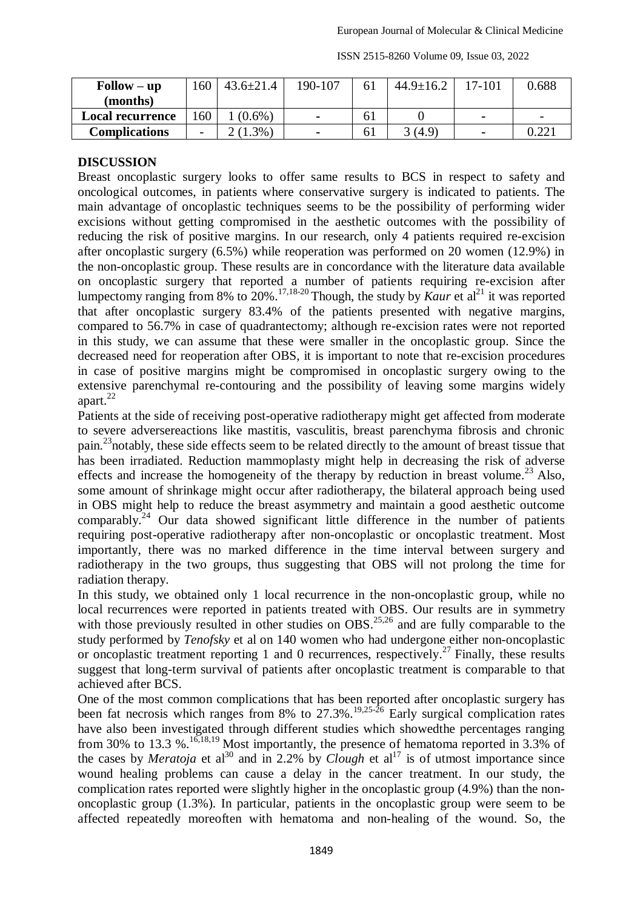| ISSN 2515-8260 Volume 09, Issue 03, 2022 |  |
|------------------------------------------|--|
|------------------------------------------|--|

| $\text{Follow} - \text{up}$ | 160 | $43.6 \pm 21.4$ | 190-107        | 61 | $44.9 \pm 16.2$ | 17-101         | 0.688        |
|-----------------------------|-----|-----------------|----------------|----|-----------------|----------------|--------------|
| (months)                    |     |                 |                |    |                 |                |              |
| <b>Local recurrence</b>     | 60  | $(0.6\%)$       | $\blacksquare$ | ΩI |                 | $\blacksquare$ | -            |
| <b>Complications</b>        | -   | $(1.3\%)$       | $\blacksquare$ | 61 | 3(4.9)          | $\blacksquare$ | റ ററ<br>J.44 |

### **DISCUSSION**

Breast oncoplastic surgery looks to offer same results to BCS in respect to safety and oncological outcomes, in patients where conservative surgery is indicated to patients. The main advantage of oncoplastic techniques seems to be the possibility of performing wider excisions without getting compromised in the aesthetic outcomes with the possibility of reducing the risk of positive margins. In our research, only 4 patients required re-excision after oncoplastic surgery (6.5%) while reoperation was performed on 20 women (12.9%) in the non-oncoplastic group. These results are in concordance with the literature data available on oncoplastic surgery that reported a number of patients requiring re-excision after lumpectomy ranging from 8% to 20%.<sup>17,18-20</sup> Though, the study by *Kaur* et al<sup>21</sup> it was reported that after oncoplastic surgery 83.4% of the patients presented with negative margins, compared to 56.7% in case of quadrantectomy; although re-excision rates were not reported in this study, we can assume that these were smaller in the oncoplastic group. Since the decreased need for reoperation after OBS, it is important to note that re-excision procedures in case of positive margins might be compromised in oncoplastic surgery owing to the extensive parenchymal re-contouring and the possibility of leaving some margins widely apart.<sup>22</sup>

Patients at the side of receiving post-operative radiotherapy might get affected from moderate to severe adversereactions like mastitis, vasculitis, breast parenchyma fibrosis and chronic pain.<sup>23</sup> notably, these side effects seem to be related directly to the amount of breast tissue that has been irradiated. Reduction mammoplasty might help in decreasing the risk of adverse effects and increase the homogeneity of the therapy by reduction in breast volume.<sup>23</sup> Also, some amount of shrinkage might occur after radiotherapy, the bilateral approach being used in OBS might help to reduce the breast asymmetry and maintain a good aesthetic outcome comparably.<sup>24</sup> Our data showed significant little difference in the number of patients requiring post-operative radiotherapy after non-oncoplastic or oncoplastic treatment. Most importantly, there was no marked difference in the time interval between surgery and radiotherapy in the two groups, thus suggesting that OBS will not prolong the time for radiation therapy.

In this study, we obtained only 1 local recurrence in the non-oncoplastic group, while no local recurrences were reported in patients treated with OBS. Our results are in symmetry with those previously resulted in other studies on OBS.<sup>25,26</sup> and are fully comparable to the study performed by *Tenofsky* et al on 140 women who had undergone either non-oncoplastic or oncoplastic treatment reporting 1 and 0 recurrences, respectively.<sup>27</sup> Finally, these results suggest that long-term survival of patients after oncoplastic treatment is comparable to that achieved after BCS.

One of the most common complications that has been reported after oncoplastic surgery has been fat necrosis which ranges from 8% to 27.3%.<sup>19,25-26</sup> Early surgical complication rates have also been investigated through different studies which showedthe percentages ranging from 30% to 13.3 %.<sup>16,18,19</sup> Most importantly, the presence of hematoma reported in 3.3% of the cases by *Meratoja* et al<sup>30</sup> and in 2.2% by *Clough* et al<sup>17</sup> is of utmost importance since wound healing problems can cause a delay in the cancer treatment. In our study, the complication rates reported were slightly higher in the oncoplastic group (4.9%) than the nononcoplastic group (1.3%). In particular, patients in the oncoplastic group were seem to be affected repeatedly moreoften with hematoma and non-healing of the wound. So, the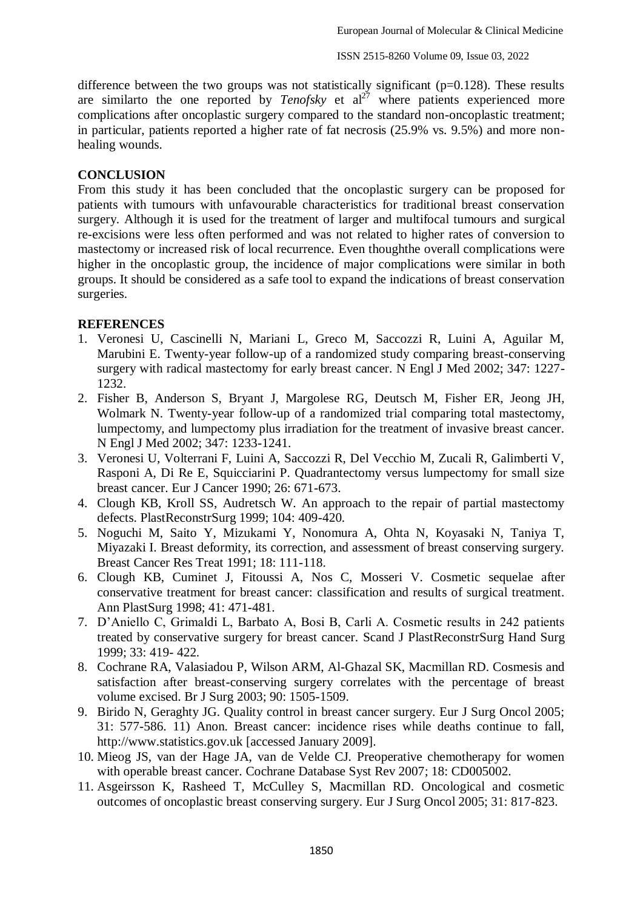difference between the two groups was not statistically significant  $(p=0.128)$ . These results are similarto the one reported by  $Tenofsky$  et  $al<sup>27</sup>$  where patients experienced more complications after oncoplastic surgery compared to the standard non-oncoplastic treatment; in particular, patients reported a higher rate of fat necrosis (25.9% vs. 9.5%) and more nonhealing wounds.

### **CONCLUSION**

From this study it has been concluded that the oncoplastic surgery can be proposed for patients with tumours with unfavourable characteristics for traditional breast conservation surgery. Although it is used for the treatment of larger and multifocal tumours and surgical re-excisions were less often performed and was not related to higher rates of conversion to mastectomy or increased risk of local recurrence. Even thoughthe overall complications were higher in the oncoplastic group, the incidence of major complications were similar in both groups. It should be considered as a safe tool to expand the indications of breast conservation surgeries.

## **REFERENCES**

- 1. Veronesi U, Cascinelli N, Mariani L, Greco M, Saccozzi R, Luini A, Aguilar M, Marubini E. Twenty-year follow-up of a randomized study comparing breast-conserving surgery with radical mastectomy for early breast cancer. N Engl J Med 2002; 347: 1227- 1232.
- 2. Fisher B, Anderson S, Bryant J, Margolese RG, Deutsch M, Fisher ER, Jeong JH, Wolmark N. Twenty-year follow-up of a randomized trial comparing total mastectomy, lumpectomy, and lumpectomy plus irradiation for the treatment of invasive breast cancer. N Engl J Med 2002; 347: 1233-1241.
- 3. Veronesi U, Volterrani F, Luini A, Saccozzi R, Del Vecchio M, Zucali R, Galimberti V, Rasponi A, Di Re E, Squicciarini P. Quadrantectomy versus lumpectomy for small size breast cancer. Eur J Cancer 1990; 26: 671-673.
- 4. Clough KB, Kroll SS, Audretsch W. An approach to the repair of partial mastectomy defects. PlastReconstrSurg 1999; 104: 409-420.
- 5. Noguchi M, Saito Y, Mizukami Y, Nonomura A, Ohta N, Koyasaki N, Taniya T, Miyazaki I. Breast deformity, its correction, and assessment of breast conserving surgery. Breast Cancer Res Treat 1991; 18: 111-118.
- 6. Clough KB, Cuminet J, Fitoussi A, Nos C, Mosseri V. Cosmetic sequelae after conservative treatment for breast cancer: classification and results of surgical treatment. Ann PlastSurg 1998; 41: 471-481.
- 7. D'Aniello C, Grimaldi L, Barbato A, Bosi B, Carli A. Cosmetic results in 242 patients treated by conservative surgery for breast cancer. Scand J PlastReconstrSurg Hand Surg 1999; 33: 419- 422.
- 8. Cochrane RA, Valasiadou P, Wilson ARM, Al-Ghazal SK, Macmillan RD. Cosmesis and satisfaction after breast-conserving surgery correlates with the percentage of breast volume excised. Br J Surg 2003; 90: 1505-1509.
- 9. Birido N, Geraghty JG. Quality control in breast cancer surgery. Eur J Surg Oncol 2005; 31: 577-586. 11) Anon. Breast cancer: incidence rises while deaths continue to fall, http://www.statistics.gov.uk [accessed January 2009].
- 10. Mieog JS, van der Hage JA, van de Velde CJ. Preoperative chemotherapy for women with operable breast cancer. Cochrane Database Syst Rev 2007; 18: CD005002.
- 11. Asgeirsson K, Rasheed T, McCulley S, Macmillan RD. Oncological and cosmetic outcomes of oncoplastic breast conserving surgery. Eur J Surg Oncol 2005; 31: 817-823.